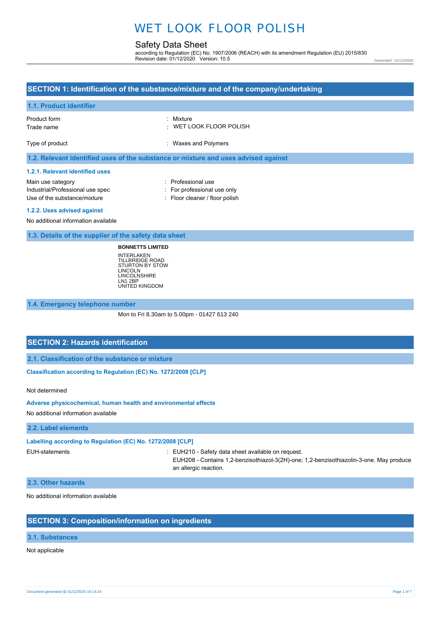# WET LOOK FLOOR POLISH

# Safety Data Sheet

according to Regulation (EC) No. 1907/2006 (REACH) with its amendment Regulation (EU) 2015/830 Revision date: 01/12/2020 Version: 10.5

Generated : 01/12/2020

# **SECTION 1: Identification of the substance/mixture and of the company/undertaking 1.1. Product identifier** Product form Trade name Type of product : Mixture : WET LOOK FLOOR POLISH : Waxes and Polymers **1.2. Relevant identified uses of the substance or mixture and uses advised against 1.2.1. Relevant identified uses** Main use category **intervalled Main use category intervalled Professional use** Industrial/Professional use spec : For professional use only Use of the substance/mixture : Floor cleaner / floor polish **1.2.2. Uses advised against** No additional information available **1.3. Details of the supplier of the safety data sheet**

**BONNETTS LIMITED** INTERLAKEN TILLBRIDGE ROAD STURTON BY STOW LINCOLN LINCOLNSHIRE LN1 2BP UNITED KINGDOM

### **1.4. Emergency telephone number**

Mon to Fri 8.30am to 5.00pm - 01427 613 240

## **SECTION 2: Hazards identification**

**2.1. Classification of the substance or mixture**

**Classification according to Regulation (EC) No. 1272/2008 [CLP]** 

Not determined

#### **Adverse physicochemical, human health and environmental effects**

No additional information available

#### **2.2. Label elements**

**Labelling according to Regulation (EC) No. 1272/2008 [CLP]**

EUH-statements : EUH210 - Safety data sheet available on request.

EUH208 - Contains 1,2-benzisothiazol-3(2H)-one; 1,2-benzisothiazolin-3-one. May produce an allergic reaction.

### **2.3. Other hazards**

No additional information available

## **SECTION 3: Composition/information on ingredients**

## **3.1. Substances**

Not applicable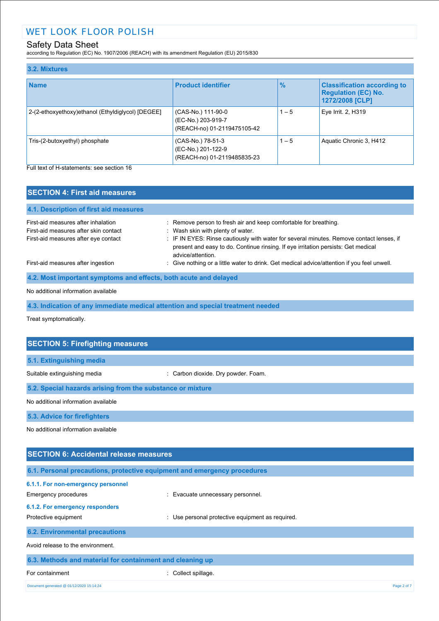according to Regulation (EC) No. 1907/2006 (REACH) with its amendment Regulation (EU) 2015/830

| 3.2. Mixtures                                     |                                                                         |               |                                                                                     |
|---------------------------------------------------|-------------------------------------------------------------------------|---------------|-------------------------------------------------------------------------------------|
| <b>Name</b>                                       | <b>Product identifier</b>                                               | $\frac{1}{2}$ | <b>Classification according to</b><br><b>Regulation (EC) No.</b><br>1272/2008 [CLP] |
| 2-(2-ethoxyethoxy)ethanol (Ethyldiglycol) [DEGEE] | (CAS-No.) 111-90-0<br>(EC-No.) 203-919-7<br>(REACH-no) 01-2119475105-42 | $1 - 5$       | Eye Irrit. 2, H319                                                                  |
| Tris-(2-butoxyethyl) phosphate                    | (CAS-No.) 78-51-3<br>(EC-No.) 201-122-9<br>(REACH-no) 01-2119485835-23  | $1 - 5$       | Aquatic Chronic 3, H412                                                             |

Full text of H-statements: see section 16

| <b>SECTION 4: First aid measures</b>                             |                                                                                                                                                                                                    |
|------------------------------------------------------------------|----------------------------------------------------------------------------------------------------------------------------------------------------------------------------------------------------|
| 4.1. Description of first aid measures                           |                                                                                                                                                                                                    |
| First-aid measures after inhalation                              | : Remove person to fresh air and keep comfortable for breathing.                                                                                                                                   |
| First-aid measures after skin contact                            | : Wash skin with plenty of water.                                                                                                                                                                  |
| First-aid measures after eye contact                             | : IF IN EYES: Rinse cautiously with water for several minutes. Remove contact lenses, if<br>present and easy to do. Continue rinsing. If eye irritation persists: Get medical<br>advice/attention. |
| First-aid measures after ingestion                               | : Give nothing or a little water to drink. Get medical advice/attention if you feel unwell.                                                                                                        |
| 4.2. Most important symptoms and effects, both acute and delayed |                                                                                                                                                                                                    |
|                                                                  |                                                                                                                                                                                                    |

#### No additional information available

**4.3. Indication of any immediate medical attention and special treatment needed**

Treat symptomatically.

| <b>SECTION 5: Firefighting measures</b>                                  |                                                |  |
|--------------------------------------------------------------------------|------------------------------------------------|--|
| 5.1. Extinguishing media                                                 |                                                |  |
| Suitable extinguishing media                                             | Carbon dioxide. Dry powder. Foam.              |  |
| 5.2. Special hazards arising from the substance or mixture               |                                                |  |
| No additional information available                                      |                                                |  |
| 5.3. Advice for firefighters                                             |                                                |  |
| No additional information available                                      |                                                |  |
|                                                                          |                                                |  |
| <b>SECTION 6: Accidental release measures</b>                            |                                                |  |
| 6.1. Personal precautions, protective equipment and emergency procedures |                                                |  |
| 6.1.1. For non-emergency personnel                                       |                                                |  |
| Emergency procedures                                                     | Evacuate unnecessary personnel.                |  |
| 6.1.2. For emergency responders                                          |                                                |  |
| Protective equipment                                                     | Use personal protective equipment as required. |  |

# **6.2. Environmental precautions**

Avoid release to the environment.

| 6.3. Methods and material for containment and cleaning up |                     |             |
|-----------------------------------------------------------|---------------------|-------------|
| For containment                                           | : Collect spillage. |             |
| Document generated @ 01/12/2020 15:14:24                  |                     | Page 2 of 7 |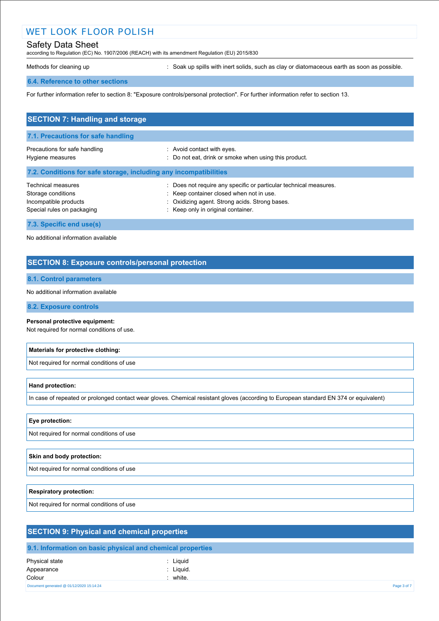# WET LOOK FLOOR POLISH

## Safety Data Sheet

according to Regulation (EC) No. 1907/2006 (REACH) with its amendment Regulation (EU) 2015/830

Methods for cleaning up **interpret in the spills with inert solids**, such as clay or diatomaceous earth as soon as possible.

#### **6.4. Reference to other sections**

For further information refer to section 8: "Exposure controls/personal protection". For further information refer to section 13.

| <b>SECTION 7: Handling and storage</b>                                                          |                                                                                                                                                                                                     |  |  |  |
|-------------------------------------------------------------------------------------------------|-----------------------------------------------------------------------------------------------------------------------------------------------------------------------------------------------------|--|--|--|
| 7.1. Precautions for safe handling                                                              |                                                                                                                                                                                                     |  |  |  |
| Precautions for safe handling<br>Hygiene measures                                               | : Avoid contact with eyes.<br>: Do not eat, drink or smoke when using this product.                                                                                                                 |  |  |  |
| 7.2. Conditions for safe storage, including any incompatibilities                               |                                                                                                                                                                                                     |  |  |  |
| Technical measures<br>Storage conditions<br>Incompatible products<br>Special rules on packaging | Does not require any specific or particular technical measures.<br>: Keep container closed when not in use.<br>: Oxidizing agent. Strong acids. Strong bases.<br>: Keep only in original container. |  |  |  |
| 7.3. Specific end use(s)                                                                        |                                                                                                                                                                                                     |  |  |  |

No additional information available

## **SECTION 8: Exposure controls/personal protection**

## **8.1. Control parameters**

No additional information available

### **8.2. Exposure controls**

#### **Personal protective equipment:**

Not required for normal conditions of use.

#### **Materials for protective clothing:**

Not required for normal conditions of use

#### **Hand protection:**

In case of repeated or prolonged contact wear gloves. Chemical resistant gloves (according to European standard EN 374 or equivalent)

## **Eye protection:**

Not required for normal conditions of use

#### **Skin and body protection:**

Not required for normal conditions of use

#### **Respiratory protection:**

Not required for normal conditions of use

| <b>SECTION 9: Physical and chemical properties</b> |                                                            |             |
|----------------------------------------------------|------------------------------------------------------------|-------------|
|                                                    | 9.1. Information on basic physical and chemical properties |             |
| Physical state                                     | Liquid                                                     |             |
| Appearance                                         | : Liguid.                                                  |             |
| Colour                                             | : white.                                                   |             |
| Document generated @ 01/12/2020 15:14:24           |                                                            | Page 3 of 7 |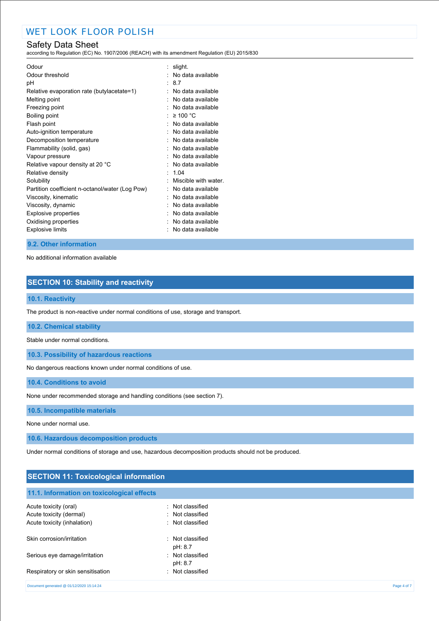according to Regulation (EC) No. 1907/2006 (REACH) with its amendment Regulation (EU) 2015/830

| Odour threshold<br>: No data available<br>87<br>рH<br>Relative evaporation rate (butylacetate=1)<br>No data available<br>Melting point<br>No data available<br>No data available<br>Freezing point<br>$\geq 100$ °C<br>Boiling point<br>No data available<br>Flash point<br>Auto-ignition temperature<br>No data available<br>No data available<br>Decomposition temperature<br>No data available<br>Flammability (solid, gas)<br>No data available<br>Vapour pressure<br>No data available<br>Relative vapour density at 20 °C<br>Relative density<br>1.04<br>Miscible with water<br>Solubility<br>No data available<br>Partition coefficient n-octanol/water (Log Pow)<br>Viscosity, kinematic<br>No data available<br>Viscosity, dynamic<br>No data available<br>No data available<br><b>Explosive properties</b><br>Oxidising properties<br>No data available<br>No data available | Odour                   | : slight. |
|----------------------------------------------------------------------------------------------------------------------------------------------------------------------------------------------------------------------------------------------------------------------------------------------------------------------------------------------------------------------------------------------------------------------------------------------------------------------------------------------------------------------------------------------------------------------------------------------------------------------------------------------------------------------------------------------------------------------------------------------------------------------------------------------------------------------------------------------------------------------------------------|-------------------------|-----------|
|                                                                                                                                                                                                                                                                                                                                                                                                                                                                                                                                                                                                                                                                                                                                                                                                                                                                                        |                         |           |
|                                                                                                                                                                                                                                                                                                                                                                                                                                                                                                                                                                                                                                                                                                                                                                                                                                                                                        |                         |           |
|                                                                                                                                                                                                                                                                                                                                                                                                                                                                                                                                                                                                                                                                                                                                                                                                                                                                                        |                         |           |
|                                                                                                                                                                                                                                                                                                                                                                                                                                                                                                                                                                                                                                                                                                                                                                                                                                                                                        |                         |           |
|                                                                                                                                                                                                                                                                                                                                                                                                                                                                                                                                                                                                                                                                                                                                                                                                                                                                                        |                         |           |
|                                                                                                                                                                                                                                                                                                                                                                                                                                                                                                                                                                                                                                                                                                                                                                                                                                                                                        |                         |           |
|                                                                                                                                                                                                                                                                                                                                                                                                                                                                                                                                                                                                                                                                                                                                                                                                                                                                                        |                         |           |
|                                                                                                                                                                                                                                                                                                                                                                                                                                                                                                                                                                                                                                                                                                                                                                                                                                                                                        |                         |           |
|                                                                                                                                                                                                                                                                                                                                                                                                                                                                                                                                                                                                                                                                                                                                                                                                                                                                                        |                         |           |
|                                                                                                                                                                                                                                                                                                                                                                                                                                                                                                                                                                                                                                                                                                                                                                                                                                                                                        |                         |           |
|                                                                                                                                                                                                                                                                                                                                                                                                                                                                                                                                                                                                                                                                                                                                                                                                                                                                                        |                         |           |
|                                                                                                                                                                                                                                                                                                                                                                                                                                                                                                                                                                                                                                                                                                                                                                                                                                                                                        |                         |           |
|                                                                                                                                                                                                                                                                                                                                                                                                                                                                                                                                                                                                                                                                                                                                                                                                                                                                                        |                         |           |
|                                                                                                                                                                                                                                                                                                                                                                                                                                                                                                                                                                                                                                                                                                                                                                                                                                                                                        |                         |           |
|                                                                                                                                                                                                                                                                                                                                                                                                                                                                                                                                                                                                                                                                                                                                                                                                                                                                                        |                         |           |
|                                                                                                                                                                                                                                                                                                                                                                                                                                                                                                                                                                                                                                                                                                                                                                                                                                                                                        |                         |           |
|                                                                                                                                                                                                                                                                                                                                                                                                                                                                                                                                                                                                                                                                                                                                                                                                                                                                                        |                         |           |
|                                                                                                                                                                                                                                                                                                                                                                                                                                                                                                                                                                                                                                                                                                                                                                                                                                                                                        |                         |           |
|                                                                                                                                                                                                                                                                                                                                                                                                                                                                                                                                                                                                                                                                                                                                                                                                                                                                                        |                         |           |
|                                                                                                                                                                                                                                                                                                                                                                                                                                                                                                                                                                                                                                                                                                                                                                                                                                                                                        | <b>Explosive limits</b> |           |

### **9.2. Other information**

No additional information available

## **SECTION 10: Stability and reactivity**

### **10.1. Reactivity**

The product is non-reactive under normal conditions of use, storage and transport.

## **10.2. Chemical stability**

Stable under normal conditions.

**10.3. Possibility of hazardous reactions**

No dangerous reactions known under normal conditions of use.

**10.4. Conditions to avoid**

None under recommended storage and handling conditions (see section 7).

#### **10.5. Incompatible materials**

None under normal use.

**10.6. Hazardous decomposition products**

Under normal conditions of storage and use, hazardous decomposition products should not be produced.

## **SECTION 11: Toxicological information**

# **11.1. Information on toxicological effects**

| Acute toxicity (oral)                    | : Not classified            |             |
|------------------------------------------|-----------------------------|-------------|
| Acute toxicity (dermal)                  | : Not classified            |             |
| Acute toxicity (inhalation)              | : Not classified            |             |
| Skin corrosion/irritation                | : Not classified<br>pH: 8.7 |             |
| Serious eye damage/irritation            | : Not classified<br>pH: 8.7 |             |
| Respiratory or skin sensitisation        | : Not classified            |             |
| Document generated @ 01/12/2020 15:14:24 |                             | Page 4 of 7 |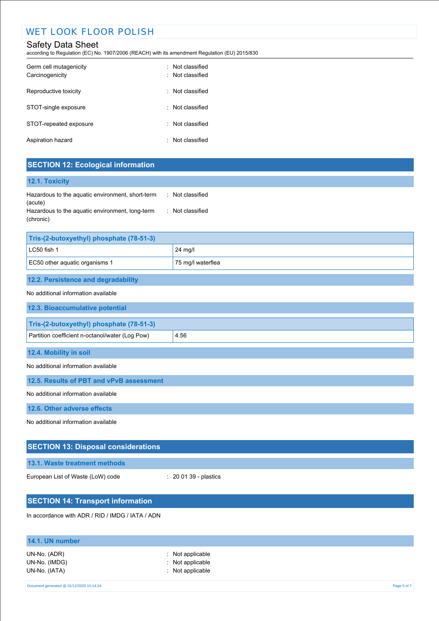# WET LOOK FLOOR POLISH

# Safety Data Sheet

according to Regulation (EC) No. 1907/2006 (REACH) with its amendment Regulation (EU) 2015/830

| Germ cell mutagenicity<br>Carcinogenicity | Not classified<br>· Not classified |
|-------------------------------------------|------------------------------------|
| Reproductive toxicity                     | : Not classified                   |
| STOT-single exposure                      | : Not classified                   |
| STOT-repeated exposure                    | : Not classified                   |
| Aspiration hazard                         | Not classified                     |

# **SECTION 12: Ecological information**

| 12.1. Toxicity                                               |                  |
|--------------------------------------------------------------|------------------|
| Hazardous to the aquatic environment, short-term<br>(acute)  | : Not classified |
| Hazardous to the aquatic environment, long-term<br>(chronic) | : Not classified |

| Tris-(2-butoxyethyl) phosphate (78-51-3)            |         |  |
|-----------------------------------------------------|---------|--|
| LC50 fish 1                                         | 24 mg/l |  |
| EC50 other aquatic organisms 1<br>75 mg/l waterflea |         |  |
|                                                     |         |  |

## **12.2. Persistence and degradability**

## No additional information available

| <u>NO additional information available</u>              |  |  |
|---------------------------------------------------------|--|--|
| 12.3. Bioaccumulative potential                         |  |  |
|                                                         |  |  |
| Tris-(2-butoxyethyl) phosphate (78-51-3)                |  |  |
| Partition coefficient n-octanol/water (Log Pow)<br>4.56 |  |  |
|                                                         |  |  |
| 12.4. Mobility in soil                                  |  |  |

### No additional information available

**12.5. Results of PBT and vPvB assessment**

No additional information available

**12.6. Other adverse effects**

No additional information available

| <b>SECTION 13: Disposal considerations</b>       |                                  |  |
|--------------------------------------------------|----------------------------------|--|
| 13.1. Waste treatment methods                    |                                  |  |
| European List of Waste (LoW) code                | $\therefore$ 20 01 39 - plastics |  |
|                                                  |                                  |  |
| <b>SECTION 14: Transport information</b>         |                                  |  |
| In accordance with ADR / RID / IMDG / IATA / ADN |                                  |  |

# **14.1. UN number** UN-No. (ADR) : Not applicable UN-No. (IMDG) : Not applicable UN-No. (IATA) : Not applicable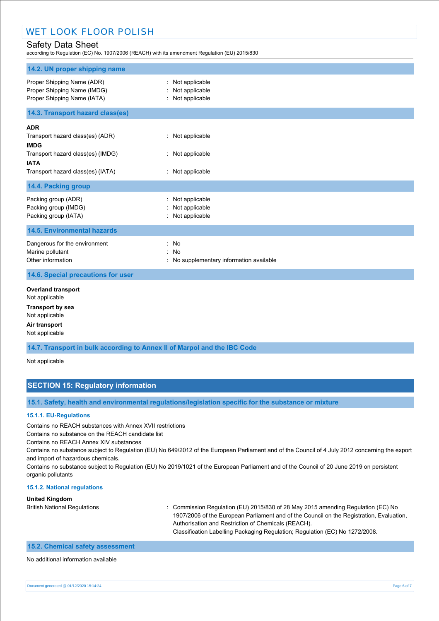according to Regulation (EC) No. 1907/2006 (REACH) with its amendment Regulation (EU) 2015/830

| 14.2. UN proper shipping name                                                                                                                          |                                                                    |
|--------------------------------------------------------------------------------------------------------------------------------------------------------|--------------------------------------------------------------------|
| Proper Shipping Name (ADR)<br>Proper Shipping Name (IMDG)<br>Proper Shipping Name (IATA)                                                               | Not applicable<br>Not applicable<br>: Not applicable               |
| 14.3. Transport hazard class(es)                                                                                                                       |                                                                    |
| <b>ADR</b><br>Transport hazard class(es) (ADR)<br><b>IMDG</b><br>Transport hazard class(es) (IMDG)<br><b>IATA</b><br>Transport hazard class(es) (IATA) | : Not applicable<br>: Not applicable<br>: Not applicable           |
| 14.4. Packing group                                                                                                                                    |                                                                    |
| Packing group (ADR)<br>Packing group (IMDG)<br>Packing group (IATA)                                                                                    | Not applicable<br>Not applicable<br>: Not applicable               |
| <b>14.5. Environmental hazards</b>                                                                                                                     |                                                                    |
| Dangerous for the environment<br>Marine pollutant<br>Other information                                                                                 | : No<br>÷<br><b>No</b><br>: No supplementary information available |
| 14.6. Special precautions for user                                                                                                                     |                                                                    |
| <b>Overland transport</b><br>Not applicable<br><b>Transport by sea</b><br>Not applicable<br>Air transport                                              |                                                                    |
| Not applicable                                                                                                                                         |                                                                    |

**14.7. Transport in bulk according to Annex II of Marpol and the IBC Code**

Not applicable

## **SECTION 15: Regulatory information**

**15.1. Safety, health and environmental regulations/legislation specific for the substance or mixture**

#### **15.1.1. EU-Regulations**

Contains no REACH substances with Annex XVII restrictions

Contains no substance on the REACH candidate list

Contains no REACH Annex XIV substances

Contains no substance subject to Regulation (EU) No 649/2012 of the European Parliament and of the Council of 4 July 2012 concerning the export and import of hazardous chemicals.

Contains no substance subject to Regulation (EU) No 2019/1021 of the European Parliament and of the Council of 20 June 2019 on persistent organic pollutants

#### **15.1.2. National regulations**

#### **United Kingdom**

British National Regulations : Commission Regulation (EU) 2015/830 of 28 May 2015 amending Regulation (EC) No 1907/2006 of the European Parliament and of the Council on the Registration, Evaluation, Authorisation and Restriction of Chemicals (REACH). Classification Labelling Packaging Regulation; Regulation (EC) No 1272/2008.

## **15.2. Chemical safety assessment**

#### No additional information available